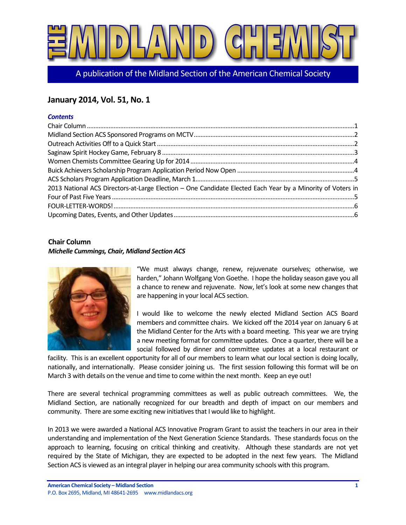

A publication of the Midland Section of the American Chemical Society

# **January 2014, Vol. 51, No. 1**

#### *Contents*

| 2013 National ACS Directors-at-Large Election - One Candidate Elected Each Year by a Minority of Voters in |  |
|------------------------------------------------------------------------------------------------------------|--|
|                                                                                                            |  |
|                                                                                                            |  |
|                                                                                                            |  |

### <span id="page-0-0"></span>**Chair Column**

#### *Michelle Cummings, Chair, Midland Section ACS*



"We must always change, renew, rejuvenate ourselves; otherwise, we harden," Johann Wolfgang Von Goethe. I hope the holiday season gave you all a chance to renew and rejuvenate. Now, let's look at some new changes that are happening in your local ACS section.

I would like to welcome the newly elected Midland Section ACS Board members and committee chairs. We kicked off the 2014 year on January 6 at the Midland Center for the Arts with a board meeting. This year we are trying a new meeting format for committee updates. Once a quarter, there will be a social followed by dinner and committee updates at a local restaurant or

facility. This is an excellent opportunity for all of our members to learn what our local section is doing locally, nationally, and internationally. Please consider joining us. The first session following this format will be on March 3 with details on the venue and time to come within the next month. Keep an eye out!

There are several technical programming committees as well as public outreach committees. We, the Midland Section, are nationally recognized for our breadth and depth of impact on our members and community. There are some exciting new initiatives that I would like to highlight.

In 2013 we were awarded a National ACS Innovative Program Grant to assist the teachers in our area in their understanding and implementation of the Next Generation Science Standards. These standards focus on the approach to learning, focusing on critical thinking and creativity. Although these standards are not yet required by the State of Michigan, they are expected to be adopted in the next few years. The Midland Section ACS is viewed as an integral player in helping our area community schools with this program.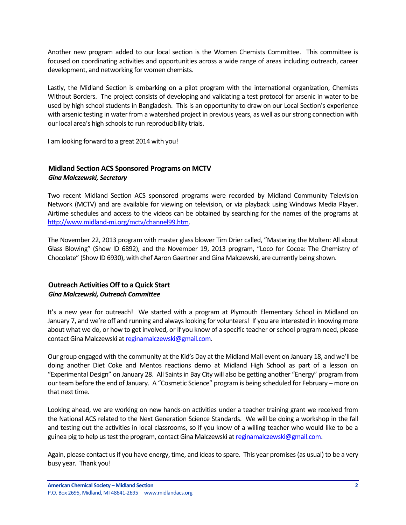Another new program added to our local section is the Women Chemists Committee. This committee is focused on coordinating activities and opportunities across a wide range of areas including outreach, career development, and networking for women chemists.

Lastly, the Midland Section is embarking on a pilot program with the international organization, Chemists Without Borders. The project consists of developing and validating a test protocol for arsenic in water to be used by high school students in Bangladesh. This is an opportunity to draw on our Local Section's experience with arsenic testing in water from a watershed project in previous years, as well as our strong connection with our local area's high schools to run reproducibility trials.

I am looking forward to a great 2014 with you!

## <span id="page-1-0"></span>**Midland Section ACS Sponsored Programs on MCTV** *Gina Malczewski, Secretary*

Two recent Midland Section ACS sponsored programs were recorded by Midland Community Television Network (MCTV) and are available for viewing on television, or via playback using Windows Media Player. Airtime schedules and access to the videos can be obtained by searching for the names of the programs at [http://www.midland-mi.org/mctv/channel99.htm.](http://www.midland-mi.org/mctv/channel99.htm)

The November 22, 2013 program with master glass blower Tim Drier called, "Mastering the Molten: All about Glass Blowing" (Show ID 6892), and the November 19, 2013 program, "Loco for Cocoa: The Chemistry of Chocolate" (Show ID 6930), with chef Aaron Gaertner and Gina Malczewski, are currently being shown.

# <span id="page-1-1"></span>**Outreach Activities Off to a Quick Start** *Gina Malczewski, Outreach Committee*

It's a new year for outreach! We started with a program at Plymouth Elementary School in Midland on January 7, and we're off and running and always looking for volunteers! If you are interested in knowing more about what we do, or how to get involved, or if you know of a specific teacher or school program need, please contact Gina Malczewski a[t reginamalczewski@gmail.com.](mailto:reginamalczewski@gmail.com)

Our group engaged with the community at the Kid's Day at the Midland Mall event on January 18, and we'll be doing another Diet Coke and Mentos reactions demo at Midland High School as part of a lesson on "Experimental Design" on January 28. All Saints in Bay City will also be getting another "Energy" program from our team before the end of January. A "Cosmetic Science" program is being scheduled for February – more on that next time.

Looking ahead, we are working on new hands-on activities under a teacher training grant we received from the National ACS related to the Next Generation Science Standards. We will be doing a workshop in the fall and testing out the activities in local classrooms, so if you know of a willing teacher who would like to be a guinea pig to help us test the program, contact Gina Malczewski a[t reginamalczewski@gmail.com.](mailto:reginamalczewski@gmail.com)

Again, please contact us if you have energy, time, and ideas to spare. This year promises (as usual) to be a very busy year. Thank you!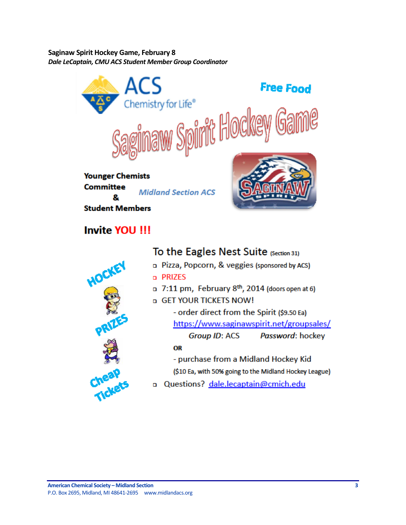<span id="page-2-0"></span>**Saginaw Spirit Hockey Game, February 8** *Dale LeCaptain, CMU ACS Student Member Group Coordinator*



# **Invite YOU !!!**



# To the Eagles Nest Suite (Section 31)

- p Pizza, Popcorn, & veggies (sponsored by ACS) o PRIZES
- 13 7:11 pm, February 8th, 2014 (doors open at 6)
- a GET YOUR TICKETS NOW!

- order direct from the Spirit (\$9.50 Ea) https://www.saginawspirit.net/groupsales/ **Group ID: ACS** Password: hockey

## OR

- purchase from a Midland Hockey Kid (\$10 Ea, with 50% going to the Midland Hockey League)

o Questions? dale.lecaptain@cmich.edu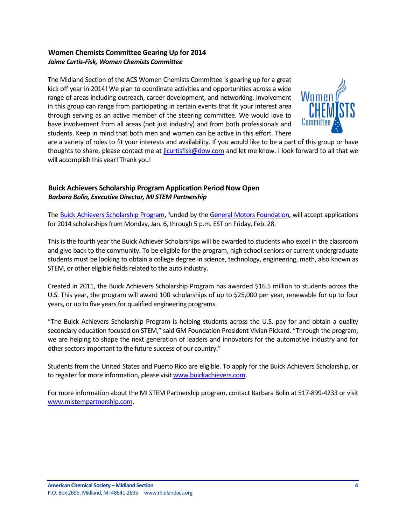### <span id="page-3-0"></span>**Women Chemists Committee Gearing Up for 2014** *Jaime Curtis-Fisk, Women Chemists Committee*

The Midland Section of the ACS Women Chemists Committee is gearing up for a great kick off year in 2014! We plan to coordinate activities and opportunities across a wide range of areas including outreach, career development, and networking. Involvement in this group can range from participating in certain events that fit your interest area through serving as an active member of the steering committee. We would love to have involvement from all areas (not just industry) and from both professionals and students. Keep in mind that both men and women can be active in this effort. There



are a variety of roles to fit your interests and availability. If you would like to be a part of this group or have thoughts to share, please contact me at [jlcurtisfisk@dow.com](mailto:jlcurtisfisk@dow.com) and let me know. I look forward to all that we will accomplish this year! Thank you!

## <span id="page-3-1"></span>**Buick Achievers Scholarship Program Application Period Now Open** *Barbara Bolin, Executive Director, MI STEM Partnership*

Th[e Buick Achievers Scholarship Program,](http://www.buickachievers.com/) funded by th[e General Motors Foundation,](http://www.gm.com/community-education) will accept applications for 2014 scholarships from Monday, Jan. 6, through 5 p.m. EST on Friday, Feb. 28.

This is the fourth year the Buick Achiever Scholarships will be awarded to students who excel in the classroom and give back to the community. To be eligible for the program, high school seniors or current undergraduate students must be looking to obtain a college degree in science, technology, engineering, math, also known as STEM, or other eligible fields related to the auto industry.

Created in 2011, the Buick Achievers Scholarship Program has awarded \$16.5 million to students across the U.S. This year, the program will award 100 scholarships of up to \$25,000 per year, renewable for up to four years, or up to five years for qualified engineering programs.

"The Buick Achievers Scholarship Program is helping students across the U.S. pay for and obtain a quality secondary education focused on STEM," said GM Foundation President Vivian Pickard. "Through the program, we are helping to shape the next generation of leaders and innovators for the automotive industry and for other sectors important to the future success of our country."

Students from the United States and Puerto Rico are eligible. To apply for the Buick Achievers Scholarship, or to register for more information, please visi[t www.buickachievers.com.](http://www.buickachievers.com/)

For more information about the MI STEM Partnership program, contact Barbara Bolin at 517-899-4233 or visit [www.mistempartnership.com.](http://www.mistempartnership.com/)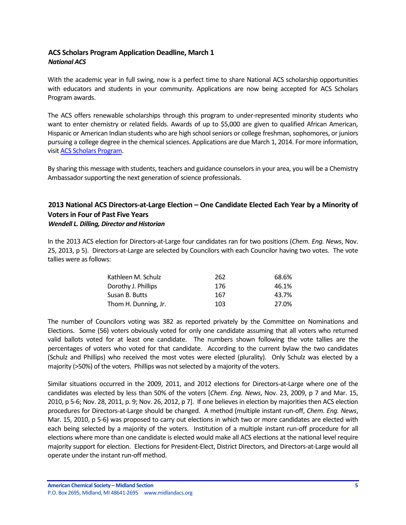# <span id="page-4-0"></span>**ACS Scholars Program Application Deadline, March 1** *National ACS*

With the academic year in full swing, now is a perfect time to share National ACS scholarship opportunities with educators and students in your community. Applications are now being accepted for ACS Scholars Program awards.

The ACS offers renewable scholarships through this program to under-represented minority students who want to enter chemistry or related fields. Awards of up to \$5,000 are given to qualified African American, Hispanic or American Indian students who are high school seniors or college freshman, sophomores, or juniors pursuing a college degree in the chemical sciences. Applications are due March 1, 2014. For more information, visi[t ACS Scholars Program.](http://www.acs.org/content/acs/en/funding-and-awards/scholarships/acsscholars.html)

By sharing this message with students, teachers and guidance counselors in your area, you will be a Chemistry Ambassador supporting the next generation of science professionals.

# <span id="page-4-1"></span>**2013 National ACS Directors-at-Large Election – One Candidate Elected Each Year by a Minority of Voters in Four of Past Five Years**

#### *Wendell L. Dilling, Director and Historian*

In the 2013 ACS election for Directors-at-Large four candidates ran for two positions (*Chem. Eng. News*, Nov. 25, 2013, p 5). Directors-at-Large are selected by Councilors with each Councilor having two votes. The vote tallies were as follows:

| Kathleen M. Schulz   | 262 | 68.6% |
|----------------------|-----|-------|
| Dorothy J. Phillips  | 176 | 46.1% |
| Susan B. Butts       | 167 | 43.7% |
| Thom H. Dunning, Jr. | 103 | 27.0% |

The number of Councilors voting was 382 as reported privately by the Committee on Nominations and Elections. Some (56) voters obviously voted for only one candidate assuming that all voters who returned valid ballots voted for at least one candidate. The numbers shown following the vote tallies are the percentages of voters who voted for that candidate. According to the current bylaw the two candidates (Schulz and Phillips) who received the most votes were elected (plurality). Only Schulz was elected by a majority (>50%) of the voters. Phillips was not selected by a majority of the voters.

Similar situations occurred in the 2009, 2011, and 2012 elections for Directors-at-Large where one of the candidates was elected by less than 50% of the voters [*Chem. Eng. News*, Nov. 23, 2009, p 7 and Mar. 15, 2010, p 5-6; Nov. 28, 2011, p. 9; Nov. 26, 2012, p 7]. If one believes in election by majorities then ACS election procedures for Directors-at-Large should be changed. A method (multiple instant run-off, *Chem. Eng. News*, Mar. 15, 2010, p 5-6) was proposed to carry out elections in which two or more candidates are elected with each being selected by a majority of the voters. Institution of a multiple instant run-off procedure for all elections where more than one candidate is elected would make all ACS elections at the national level require majority support for election. Elections for President-Elect, District Directors, and Directors-at-Large would all operate under the instant run-off method.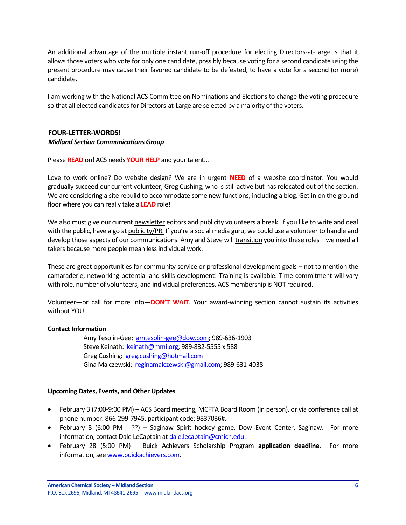An additional advantage of the multiple instant run-off procedure for electing Directors-at-Large is that it allows those voters who vote for only one candidate, possibly because voting for a second candidate using the present procedure may cause their favored candidate to be defeated, to have a vote for a second (or more) candidate.

I am working with the National ACS Committee on Nominations and Elections to change the voting procedure so that all elected candidates for Directors-at-Large are selected by a majority of the voters.

# <span id="page-5-0"></span>**FOUR-LETTER-WORDS!**

#### *Midland Section Communications Group*

Please **READ** on! ACS needs **YOUR HELP** and your talent…

Love to work online? Do website design? We are in urgent **NEED** of a website coordinator. You would gradually succeed our current volunteer, Greg Cushing, who is still active but has relocated out of the section. We are considering a site rebuild to accommodate some new functions, including a blog. Get in on the ground floor where you can really take a **LEAD** role!

We also must give our current newsletter editors and publicity volunteers a break. If you like to write and deal with the public, have a go at publicity/PR. If you're a social media guru, we could use a volunteer to handle and develop those aspects of our communications. Amy and Steve will transition you into these roles – we need all takers because more people mean less individual work.

These are great opportunities for community service or professional development goals – not to mention the camaraderie, networking potential and skills development! Training is available. Time commitment will vary with role, number of volunteers, and individual preferences. ACS membership is NOT required.

Volunteer—or call for more info—**DON'T WAIT**. Your award-winning section cannot sustain its activities without YOU.

#### **Contact Information**

Amy Tesolin-Gee: [amtesolin-gee@dow.com;](mailto:amtesolin-gee@dow.com) 989-636-1903 Steve Keinath: [keinath@mmi.org;](mailto:keinath@mmi.org) 989-832-5555 x 588 Greg Cushing: [greg.cushing@hotmail.com](mailto:greg.cushing@hotmail.com) Gina Malczewski: [reginamalczewski@gmail.com;](mailto:reginamalczewski@gmail.com) 989-631-4038

#### <span id="page-5-1"></span>**Upcoming Dates, Events, and Other Updates**

- February 3 (7:00-9:00 PM) ACS Board meeting, MCFTA Board Room (in person), or via conference call at phone number: 866-299-7945, participant code: 9837036#.
- February 8 (6:00 PM ??) Saginaw Spirit hockey game, Dow Event Center, Saginaw. For more information, contact Dale LeCaptain a[t dale.lecaptain@cmich.edu.](mailto:dale.lecaptain@cmich.edu)
- February 28 (5:00 PM) Buick Achievers Scholarship Program **application deadline**. For more information, see [www.buickachievers.com.](http://www.buickachievers.com/)